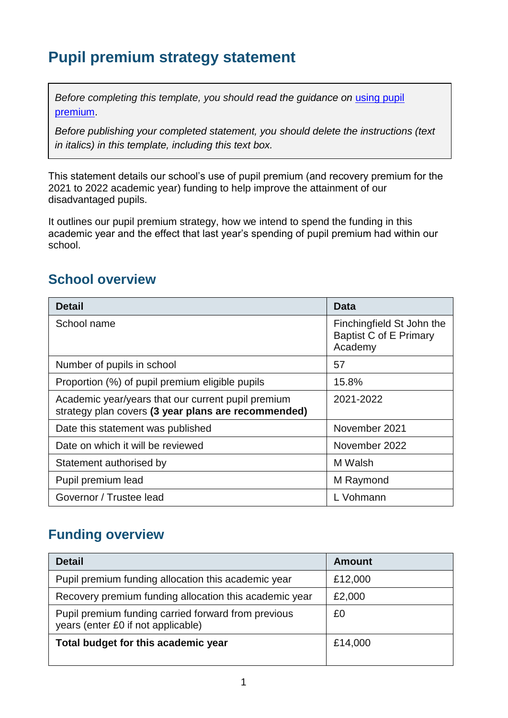## **Pupil premium strategy statement**

*Before completing this template, you should read the quidance on using pupil* [premium.](https://www.gov.uk/guidance/pupil-premium-effective-use-and-accountability#online-statements)

*Before publishing your completed statement, you should delete the instructions (text in italics) in this template, including this text box.*

This statement details our school's use of pupil premium (and recovery premium for the 2021 to 2022 academic year) funding to help improve the attainment of our disadvantaged pupils.

It outlines our pupil premium strategy, how we intend to spend the funding in this academic year and the effect that last year's spending of pupil premium had within our school.

### **School overview**

| <b>Detail</b>                                                                                             | <b>Data</b>                                                           |
|-----------------------------------------------------------------------------------------------------------|-----------------------------------------------------------------------|
| School name                                                                                               | Finchingfield St John the<br><b>Baptist C of E Primary</b><br>Academy |
| Number of pupils in school                                                                                | 57                                                                    |
| Proportion (%) of pupil premium eligible pupils                                                           | 15.8%                                                                 |
| Academic year/years that our current pupil premium<br>strategy plan covers (3 year plans are recommended) | 2021-2022                                                             |
| Date this statement was published                                                                         | November 2021                                                         |
| Date on which it will be reviewed                                                                         | November 2022                                                         |
| Statement authorised by                                                                                   | M Walsh                                                               |
| Pupil premium lead                                                                                        | M Raymond                                                             |
| Governor / Trustee lead                                                                                   | L Vohmann                                                             |

### **Funding overview**

| <b>Detail</b>                                                                             | <b>Amount</b> |
|-------------------------------------------------------------------------------------------|---------------|
| Pupil premium funding allocation this academic year                                       | £12,000       |
| Recovery premium funding allocation this academic year                                    | £2,000        |
| Pupil premium funding carried forward from previous<br>years (enter £0 if not applicable) | £0            |
| Total budget for this academic year                                                       | £14,000       |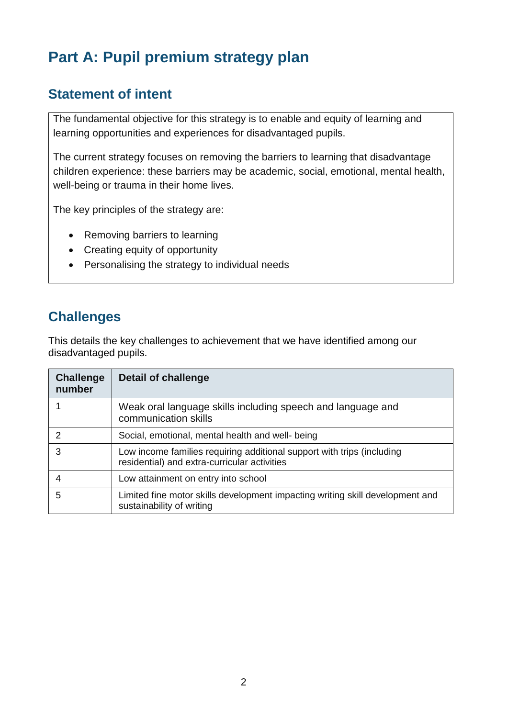# **Part A: Pupil premium strategy plan**

### **Statement of intent**

The fundamental objective for this strategy is to enable and equity of learning and learning opportunities and experiences for disadvantaged pupils.

The current strategy focuses on removing the barriers to learning that disadvantage children experience: these barriers may be academic, social, emotional, mental health, well-being or trauma in their home lives.

The key principles of the strategy are:

- Removing barriers to learning
- Creating equity of opportunity
- Personalising the strategy to individual needs

### **Challenges**

This details the key challenges to achievement that we have identified among our disadvantaged pupils.

| <b>Challenge</b><br>number | <b>Detail of challenge</b>                                                                                             |
|----------------------------|------------------------------------------------------------------------------------------------------------------------|
|                            | Weak oral language skills including speech and language and<br>communication skills                                    |
|                            | Social, emotional, mental health and well- being                                                                       |
| 3                          | Low income families requiring additional support with trips (including<br>residential) and extra-curricular activities |
|                            | Low attainment on entry into school                                                                                    |
| 5                          | Limited fine motor skills development impacting writing skill development and<br>sustainability of writing             |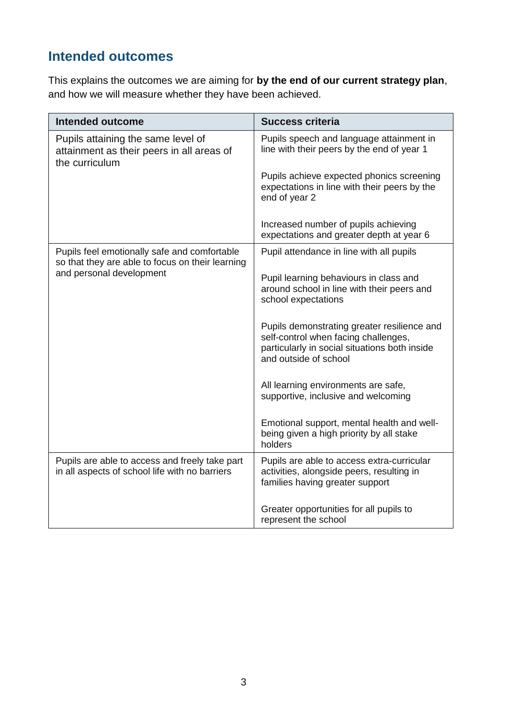## **Intended outcomes**

This explains the outcomes we are aiming for **by the end of our current strategy plan**, and how we will measure whether they have been achieved.

| Intended outcome                                                                                  | <b>Success criteria</b>                                                                                                                                       |
|---------------------------------------------------------------------------------------------------|---------------------------------------------------------------------------------------------------------------------------------------------------------------|
| Pupils attaining the same level of<br>attainment as their peers in all areas of<br>the curriculum | Pupils speech and language attainment in<br>line with their peers by the end of year 1                                                                        |
|                                                                                                   | Pupils achieve expected phonics screening<br>expectations in line with their peers by the<br>end of year 2                                                    |
|                                                                                                   | Increased number of pupils achieving<br>expectations and greater depth at year 6                                                                              |
| Pupils feel emotionally safe and comfortable<br>so that they are able to focus on their learning  | Pupil attendance in line with all pupils                                                                                                                      |
| and personal development                                                                          | Pupil learning behaviours in class and<br>around school in line with their peers and<br>school expectations                                                   |
|                                                                                                   | Pupils demonstrating greater resilience and<br>self-control when facing challenges,<br>particularly in social situations both inside<br>and outside of school |
|                                                                                                   | All learning environments are safe,<br>supportive, inclusive and welcoming                                                                                    |
|                                                                                                   | Emotional support, mental health and well-<br>being given a high priority by all stake<br>holders                                                             |
| Pupils are able to access and freely take part<br>in all aspects of school life with no barriers  | Pupils are able to access extra-curricular<br>activities, alongside peers, resulting in<br>families having greater support                                    |
|                                                                                                   | Greater opportunities for all pupils to<br>represent the school                                                                                               |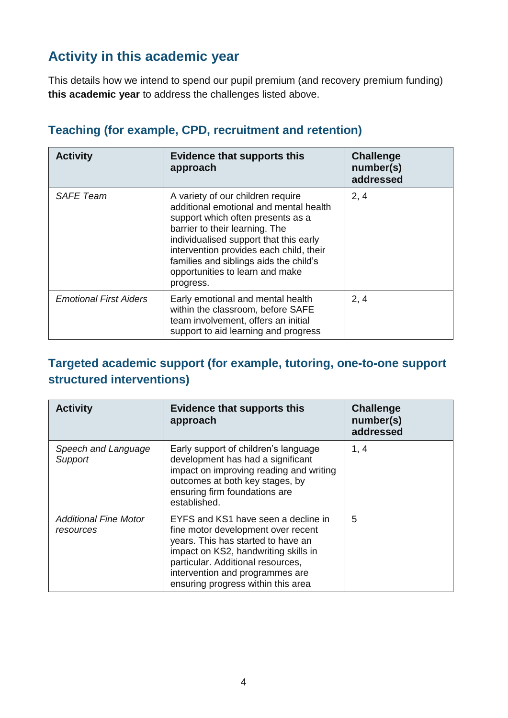### **Activity in this academic year**

This details how we intend to spend our pupil premium (and recovery premium funding) **this academic year** to address the challenges listed above.

| <b>Activity</b>               | <b>Evidence that supports this</b><br>approach                                                                                                                                                                                                                                                                                    | <b>Challenge</b><br>number(s)<br>addressed |
|-------------------------------|-----------------------------------------------------------------------------------------------------------------------------------------------------------------------------------------------------------------------------------------------------------------------------------------------------------------------------------|--------------------------------------------|
| <b>SAFE Team</b>              | A variety of our children require<br>additional emotional and mental health<br>support which often presents as a<br>barrier to their learning. The<br>individualised support that this early<br>intervention provides each child, their<br>families and siblings aids the child's<br>opportunities to learn and make<br>progress. | 2, 4                                       |
| <b>Emotional First Aiders</b> | Early emotional and mental health<br>within the classroom, before SAFE<br>team involvement, offers an initial<br>support to aid learning and progress                                                                                                                                                                             | 2, 4                                       |

#### **Teaching (for example, CPD, recruitment and retention)**

#### **Targeted academic support (for example, tutoring, one-to-one support structured interventions)**

| <b>Activity</b>                           | Evidence that supports this<br>approach                                                                                                                                                                                                                               | <b>Challenge</b><br>number(s)<br>addressed |
|-------------------------------------------|-----------------------------------------------------------------------------------------------------------------------------------------------------------------------------------------------------------------------------------------------------------------------|--------------------------------------------|
| Speech and Language<br>Support            | Early support of children's language<br>development has had a significant<br>impact on improving reading and writing<br>outcomes at both key stages, by<br>ensuring firm foundations are<br>established.                                                              | 1, 4                                       |
| <b>Additional Fine Motor</b><br>resources | EYFS and KS1 have seen a decline in<br>fine motor development over recent<br>years. This has started to have an<br>impact on KS2, handwriting skills in<br>particular. Additional resources,<br>intervention and programmes are<br>ensuring progress within this area | 5                                          |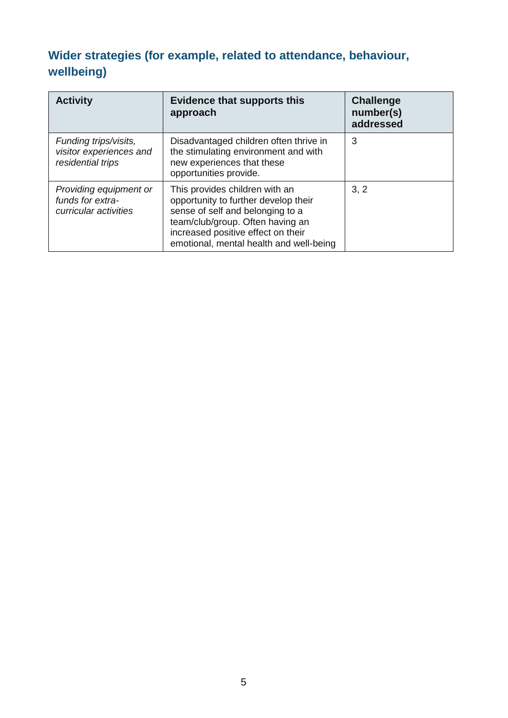## **Wider strategies (for example, related to attendance, behaviour, wellbeing)**

| <b>Activity</b>                                                       | <b>Evidence that supports this</b><br>approach                                                                                                                                                                                  | <b>Challenge</b><br>number(s)<br>addressed |
|-----------------------------------------------------------------------|---------------------------------------------------------------------------------------------------------------------------------------------------------------------------------------------------------------------------------|--------------------------------------------|
| Funding trips/visits,<br>visitor experiences and<br>residential trips | Disadvantaged children often thrive in<br>the stimulating environment and with<br>new experiences that these<br>opportunities provide.                                                                                          | 3                                          |
| Providing equipment or<br>funds for extra-<br>curricular activities   | This provides children with an<br>opportunity to further develop their<br>sense of self and belonging to a<br>team/club/group. Often having an<br>increased positive effect on their<br>emotional, mental health and well-being | 3, 2                                       |